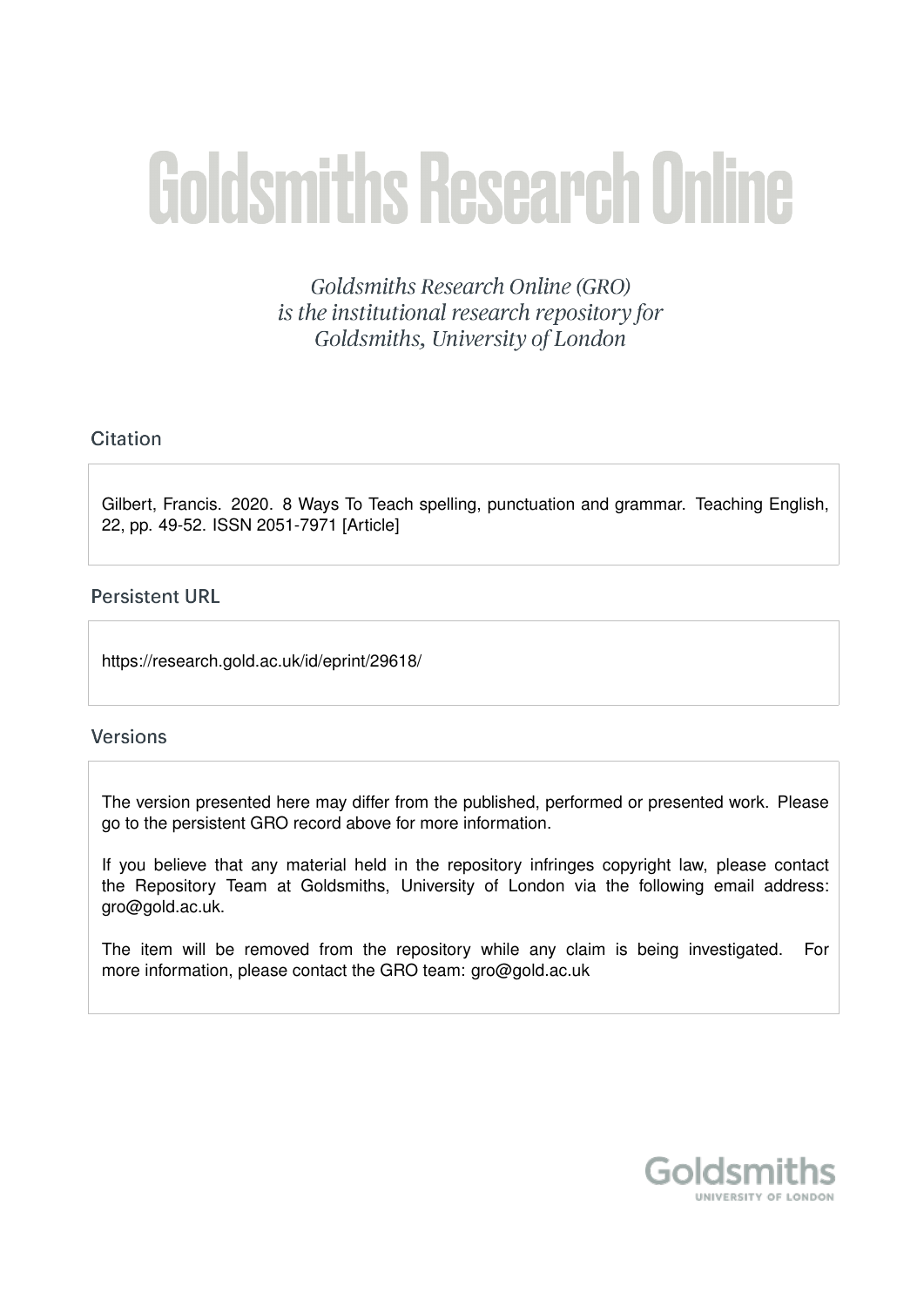# **Goldsmiths Research Online**

Goldsmiths Research Online (GRO) is the institutional research repository for Goldsmiths, University of London

#### Citation

Gilbert, Francis. 2020. 8 Ways To Teach spelling, punctuation and grammar. Teaching English, 22, pp. 49-52. ISSN 2051-7971 [Article]

#### **Persistent URL**

https://research.gold.ac.uk/id/eprint/29618/

#### **Versions**

The version presented here may differ from the published, performed or presented work. Please go to the persistent GRO record above for more information.

If you believe that any material held in the repository infringes copyright law, please contact the Repository Team at Goldsmiths, University of London via the following email address: gro@gold.ac.uk.

The item will be removed from the repository while any claim is being investigated. For more information, please contact the GRO team: gro@gold.ac.uk

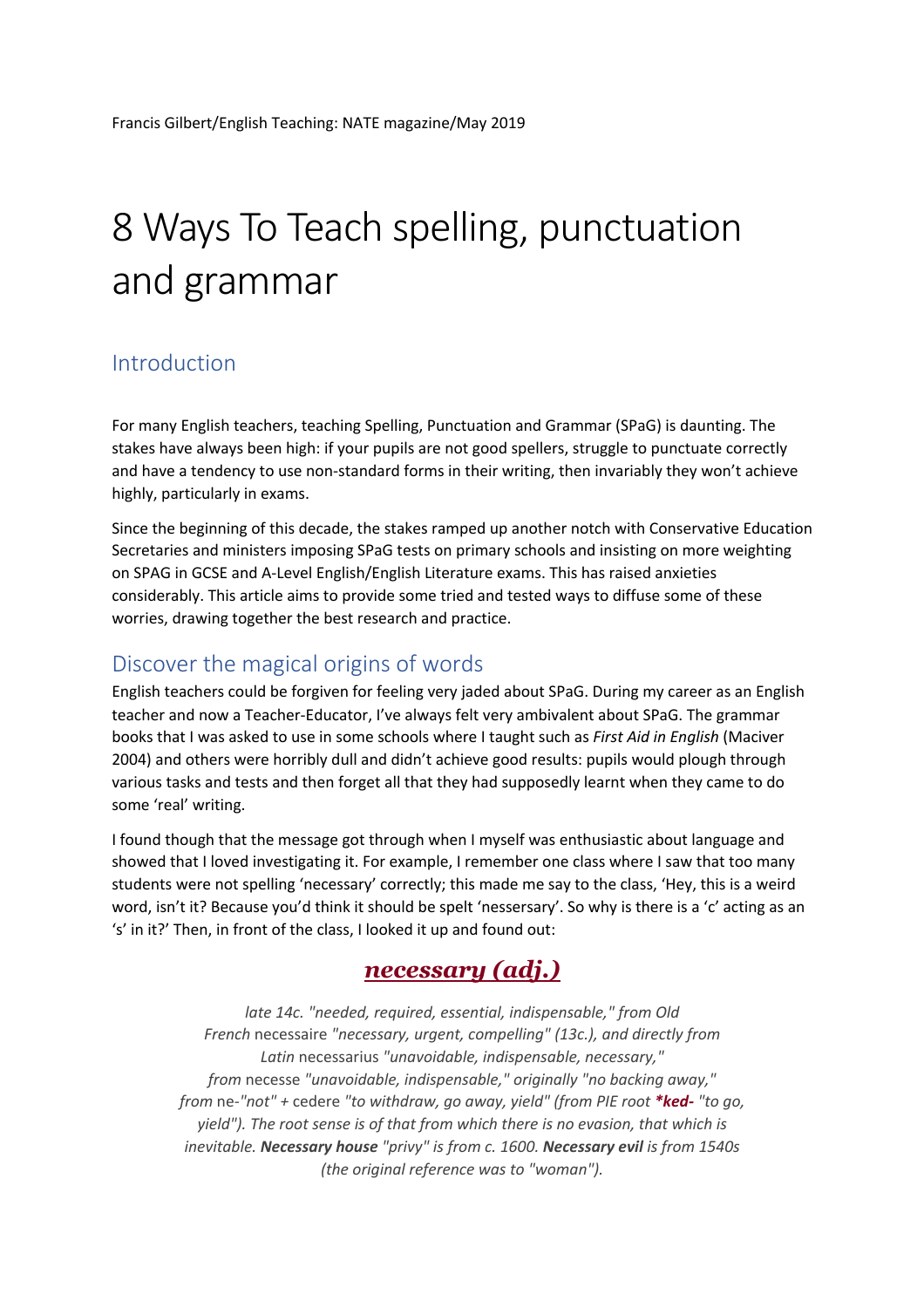# 8 Ways To Teach spelling, punctuation and grammar

#### Introduction

For many English teachers, teaching Spelling, Punctuation and Grammar (SPaG) is daunting. The stakes have always been high: if your pupils are not good spellers, struggle to punctuate correctly and have a tendency to use non-standard forms in their writing, then invariably they won't achieve highly, particularly in exams.

Since the beginning of this decade, the stakes ramped up another notch with Conservative Education Secretaries and ministers imposing SPaG tests on primary schools and insisting on more weighting on SPAG in GCSE and A-Level English/English Literature exams. This has raised anxieties considerably. This article aims to provide some tried and tested ways to diffuse some of these worries, drawing together the best research and practice.

#### Discover the magical origins of words

English teachers could be forgiven for feeling very jaded about SPaG. During my career as an English teacher and now a Teacher-Educator, I've always felt very ambivalent about SPaG. The grammar books that I was asked to use in some schools where I taught such as *First Aid in English* (Maciver 2004) and others were horribly dull and didn't achieve good results: pupils would plough through various tasks and tests and then forget all that they had supposedly learnt when they came to do some 'real' writing.

I found though that the message got through when I myself was enthusiastic about language and showed that I loved investigating it. For example, I remember one class where I saw that too many students were not spelling 'necessary' correctly; this made me say to the class, 'Hey, this is a weird word, isn't it? Because you'd think it should be spelt 'nessersary'. So why is there is a 'c' acting as an 's' in it?' Then, in front of the class, I looked it up and found out:

# *necessary (adj.)*

*late 14c. "needed, required, essential, indispensable," from Old French* necessaire *"necessary, urgent, compelling" (13c.), and directly from Latin* necessarius *"unavoidable, indispensable, necessary," from* necesse *"unavoidable, indispensable," originally "no backing away," from* ne*-"not" +* cedere *"to withdraw, go away, yield" (from PIE root \*ked- "to go, yield"). The root sense is of that from which there is no evasion, that which is inevitable. Necessary house "privy" is from c. 1600. Necessary evil is from 1540s (the original reference was to "woman").*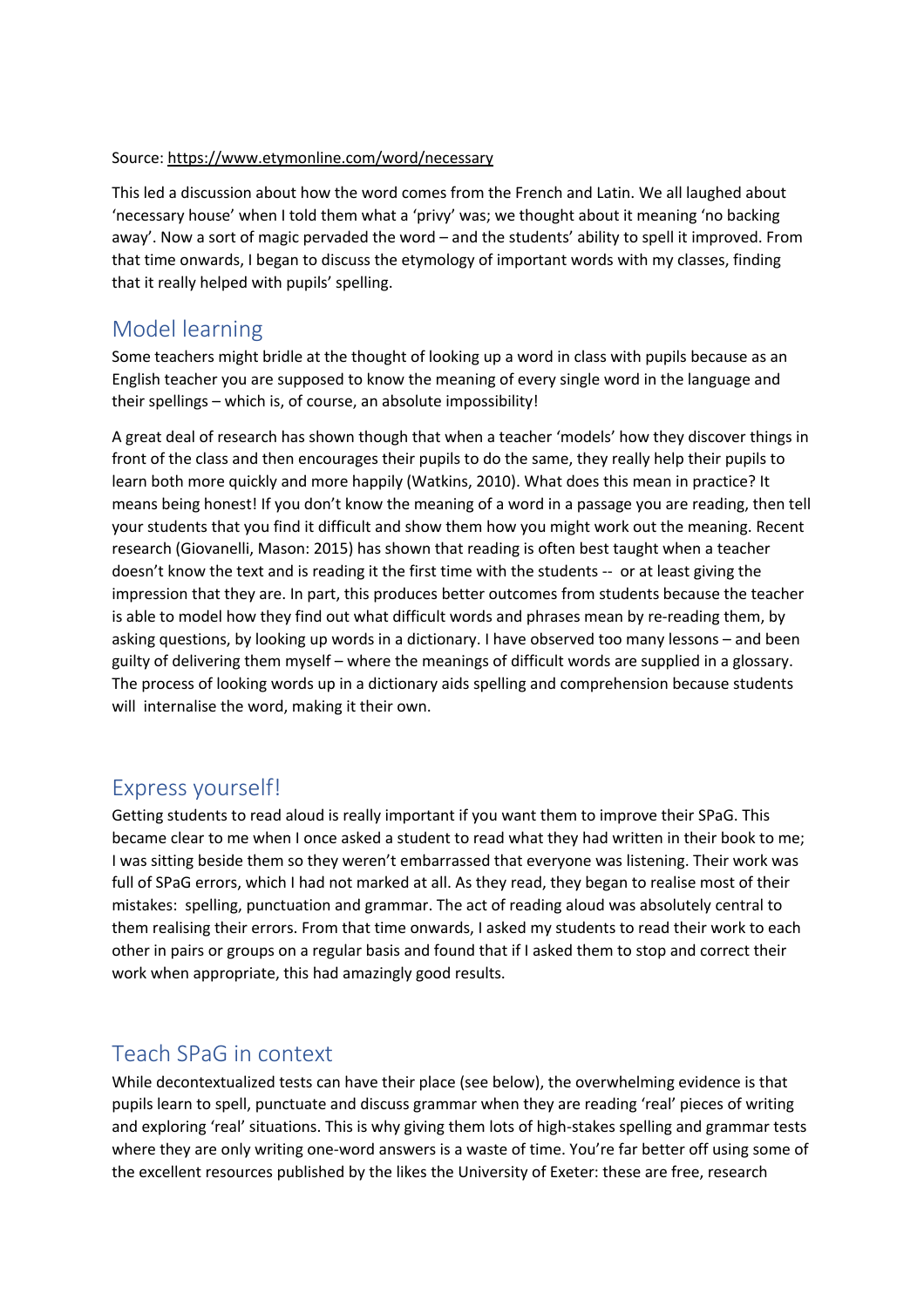#### Source: https://www.etymonline.com/word/necessary

This led a discussion about how the word comes from the French and Latin. We all laughed about 'necessary house' when I told them what a 'privy' was; we thought about it meaning 'no backing away'. Now a sort of magic pervaded the word – and the students' ability to spell it improved. From that time onwards, I began to discuss the etymology of important words with my classes, finding that it really helped with pupils' spelling.

#### Model learning

Some teachers might bridle at the thought of looking up a word in class with pupils because as an English teacher you are supposed to know the meaning of every single word in the language and their spellings – which is, of course, an absolute impossibility!

A great deal of research has shown though that when a teacher 'models' how they discover things in front of the class and then encourages their pupils to do the same, they really help their pupils to learn both more quickly and more happily (Watkins, 2010). What does this mean in practice? It means being honest! If you don't know the meaning of a word in a passage you are reading, then tell your students that you find it difficult and show them how you might work out the meaning. Recent research (Giovanelli, Mason: 2015) has shown that reading is often best taught when a teacher doesn't know the text and is reading it the first time with the students -- or at least giving the impression that they are. In part, this produces better outcomes from students because the teacher is able to model how they find out what difficult words and phrases mean by re-reading them, by asking questions, by looking up words in a dictionary. I have observed too many lessons – and been guilty of delivering them myself – where the meanings of difficult words are supplied in a glossary. The process of looking words up in a dictionary aids spelling and comprehension because students will internalise the word, making it their own.

#### Express yourself!

Getting students to read aloud is really important if you want them to improve their SPaG. This became clear to me when I once asked a student to read what they had written in their book to me; I was sitting beside them so they weren't embarrassed that everyone was listening. Their work was full of SPaG errors, which I had not marked at all. As they read, they began to realise most of their mistakes: spelling, punctuation and grammar. The act of reading aloud was absolutely central to them realising their errors. From that time onwards, I asked my students to read their work to each other in pairs or groups on a regular basis and found that if I asked them to stop and correct their work when appropriate, this had amazingly good results.

#### Teach SPaG in context

While decontextualized tests can have their place (see below), the overwhelming evidence is that pupils learn to spell, punctuate and discuss grammar when they are reading 'real' pieces of writing and exploring 'real' situations. This is why giving them lots of high-stakes spelling and grammar tests where they are only writing one-word answers is a waste of time. You're far better off using some of the excellent resources published by the likes the University of Exeter: these are free, research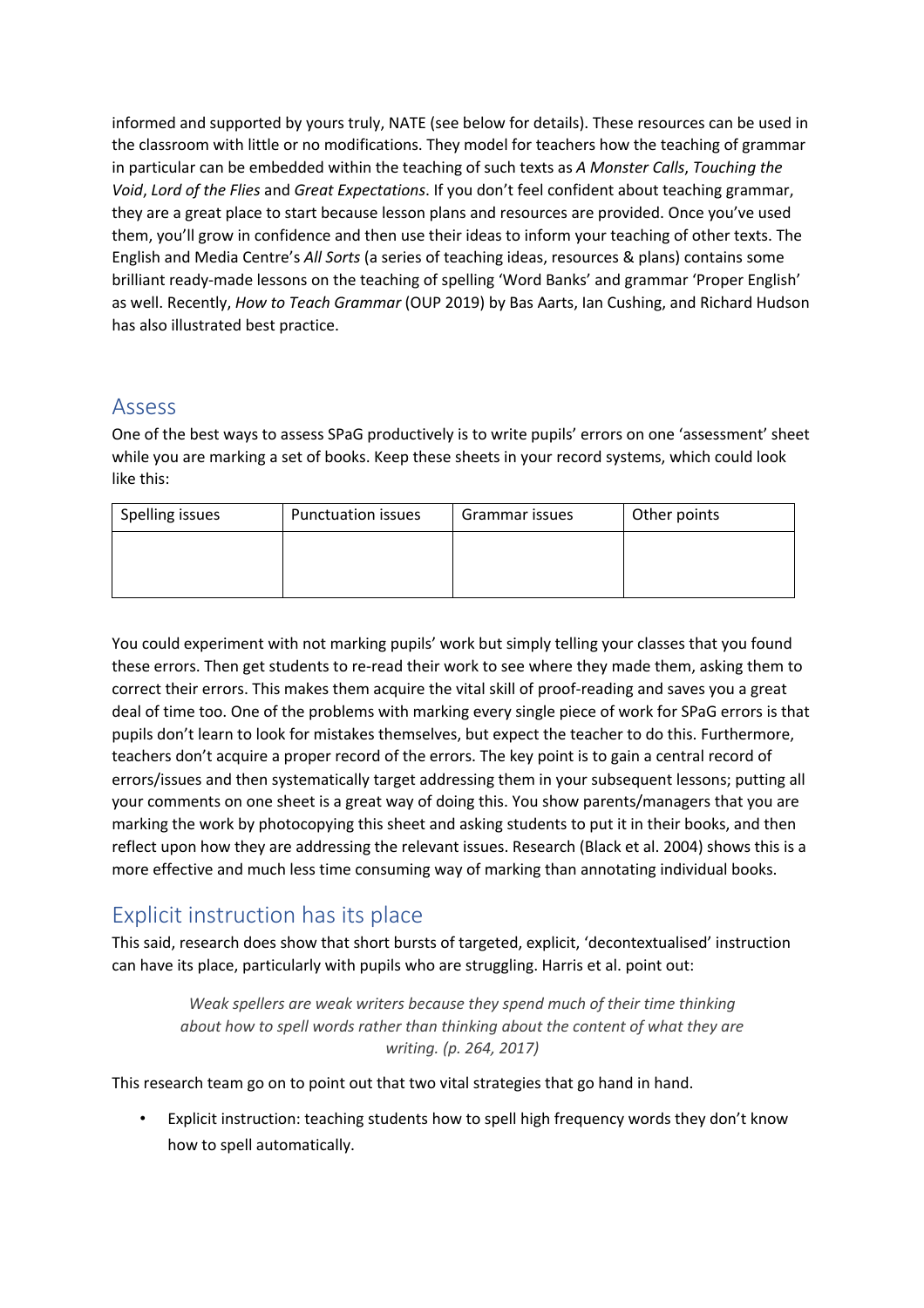informed and supported by yours truly, NATE (see below for details). These resources can be used in the classroom with little or no modifications. They model for teachers how the teaching of grammar in particular can be embedded within the teaching of such texts as *A Monster Calls*, *Touching the Void*, *Lord of the Flies* and *Great Expectations*. If you don't feel confident about teaching grammar, they are a great place to start because lesson plans and resources are provided. Once you've used them, you'll grow in confidence and then use their ideas to inform your teaching of other texts. The English and Media Centre's *All Sorts* (a series of teaching ideas, resources & plans) contains some brilliant ready-made lessons on the teaching of spelling 'Word Banks' and grammar 'Proper English' as well. Recently, *How to Teach Grammar* (OUP 2019) by Bas Aarts, Ian Cushing, and Richard Hudson has also illustrated best practice.

#### Assess

One of the best ways to assess SPaG productively is to write pupils' errors on one 'assessment' sheet while you are marking a set of books. Keep these sheets in your record systems, which could look like this:

| Spelling issues | <b>Punctuation issues</b> | Grammar issues | Other points |
|-----------------|---------------------------|----------------|--------------|
|                 |                           |                |              |
|                 |                           |                |              |
|                 |                           |                |              |

You could experiment with not marking pupils' work but simply telling your classes that you found these errors. Then get students to re-read their work to see where they made them, asking them to correct their errors. This makes them acquire the vital skill of proof-reading and saves you a great deal of time too. One of the problems with marking every single piece of work for SPaG errors is that pupils don't learn to look for mistakes themselves, but expect the teacher to do this. Furthermore, teachers don't acquire a proper record of the errors. The key point is to gain a central record of errors/issues and then systematically target addressing them in your subsequent lessons; putting all your comments on one sheet is a great way of doing this. You show parents/managers that you are marking the work by photocopying this sheet and asking students to put it in their books, and then reflect upon how they are addressing the relevant issues. Research (Black et al. 2004) shows this is a more effective and much less time consuming way of marking than annotating individual books.

# Explicit instruction has its place

This said, research does show that short bursts of targeted, explicit, 'decontextualised' instruction can have its place, particularly with pupils who are struggling. Harris et al. point out:

> *Weak spellers are weak writers because they spend much of their time thinking about how to spell words rather than thinking about the content of what they are writing. (p. 264, 2017)*

This research team go on to point out that two vital strategies that go hand in hand.

• Explicit instruction: teaching students how to spell high frequency words they don't know how to spell automatically.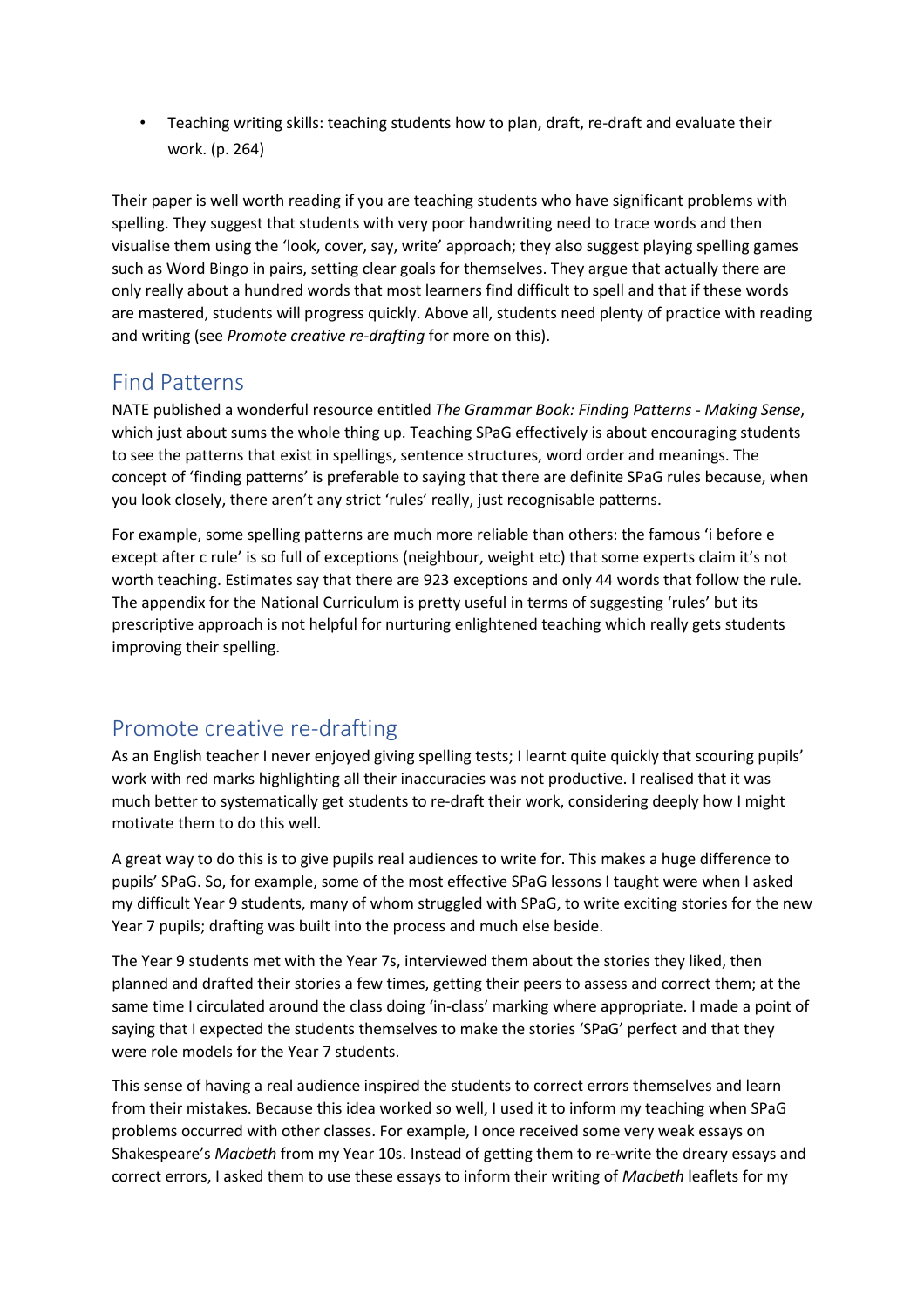• Teaching writing skills: teaching students how to plan, draft, re-draft and evaluate their work. (p. 264)

Their paper is well worth reading if you are teaching students who have significant problems with spelling. They suggest that students with very poor handwriting need to trace words and then visualise them using the 'look, cover, say, write' approach; they also suggest playing spelling games such as Word Bingo in pairs, setting clear goals for themselves. They argue that actually there are only really about a hundred words that most learners find difficult to spell and that if these words are mastered, students will progress quickly. Above all, students need plenty of practice with reading and writing (see *Promote creative re-drafting* for more on this).

### Find Patterns

NATE published a wonderful resource entitled *The Grammar Book: Finding Patterns - Making Sense*, which just about sums the whole thing up. Teaching SPaG effectively is about encouraging students to see the patterns that exist in spellings, sentence structures, word order and meanings. The concept of 'finding patterns' is preferable to saying that there are definite SPaG rules because, when you look closely, there aren't any strict 'rules' really, just recognisable patterns.

For example, some spelling patterns are much more reliable than others: the famous 'i before e except after c rule' is so full of exceptions (neighbour, weight etc) that some experts claim it's not worth teaching. Estimates say that there are 923 exceptions and only 44 words that follow the rule. The appendix for the National Curriculum is pretty useful in terms of suggesting 'rules' but its prescriptive approach is not helpful for nurturing enlightened teaching which really gets students improving their spelling.

# Promote creative re-drafting

As an English teacher I never enjoyed giving spelling tests; I learnt quite quickly that scouring pupils' work with red marks highlighting all their inaccuracies was not productive. I realised that it was much better to systematically get students to re-draft their work, considering deeply how I might motivate them to do this well.

A great way to do this is to give pupils real audiences to write for. This makes a huge difference to pupils' SPaG. So, for example, some of the most effective SPaG lessons I taught were when I asked my difficult Year 9 students, many of whom struggled with SPaG, to write exciting stories for the new Year 7 pupils; drafting was built into the process and much else beside.

The Year 9 students met with the Year 7s, interviewed them about the stories they liked, then planned and drafted their stories a few times, getting their peers to assess and correct them; at the same time I circulated around the class doing 'in-class' marking where appropriate. I made a point of saying that I expected the students themselves to make the stories 'SPaG' perfect and that they were role models for the Year 7 students.

This sense of having a real audience inspired the students to correct errors themselves and learn from their mistakes. Because this idea worked so well, I used it to inform my teaching when SPaG problems occurred with other classes. For example, I once received some very weak essays on Shakespeare's *Macbeth* from my Year 10s. Instead of getting them to re-write the dreary essays and correct errors, I asked them to use these essays to inform their writing of *Macbeth* leaflets for my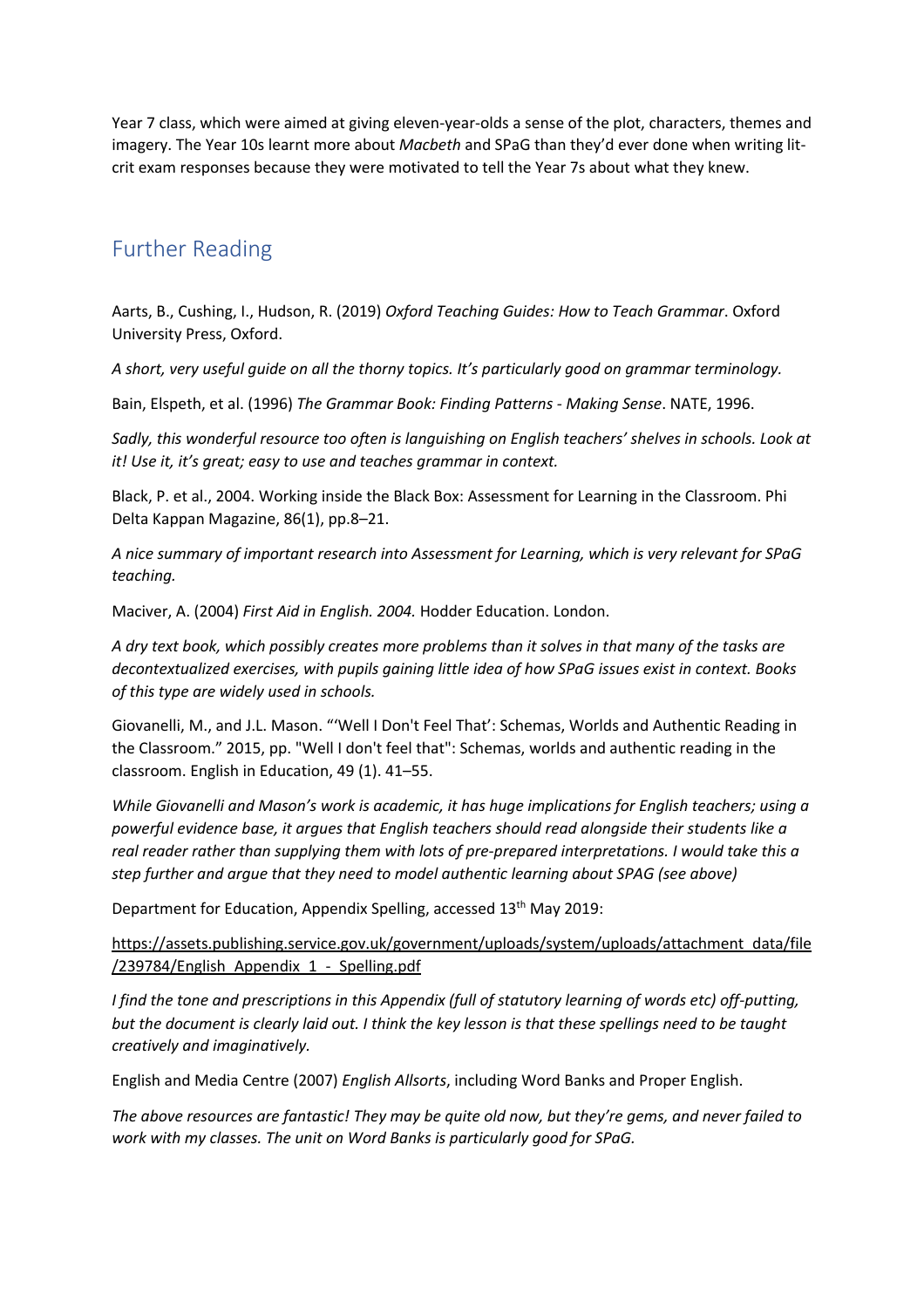Year 7 class, which were aimed at giving eleven-year-olds a sense of the plot, characters, themes and imagery. The Year 10s learnt more about *Macbeth* and SPaG than they'd ever done when writing litcrit exam responses because they were motivated to tell the Year 7s about what they knew.

# Further Reading

Aarts, B., Cushing, I., Hudson, R. (2019) *Oxford Teaching Guides: How to Teach Grammar*. Oxford University Press, Oxford.

*A short, very useful guide on all the thorny topics. It's particularly good on grammar terminology.*

Bain, Elspeth, et al. (1996) *The Grammar Book: Finding Patterns - Making Sense*. NATE, 1996.

*Sadly, this wonderful resource too often is languishing on English teachers' shelves in schools. Look at it! Use it, it's great; easy to use and teaches grammar in context.*

Black, P. et al., 2004. Working inside the Black Box: Assessment for Learning in the Classroom. Phi Delta Kappan Magazine, 86(1), pp.8–21.

*A nice summary of important research into Assessment for Learning, which is very relevant for SPaG teaching.*

Maciver, A. (2004) *First Aid in English. 2004.* Hodder Education. London.

*A dry text book, which possibly creates more problems than it solves in that many of the tasks are decontextualized exercises, with pupils gaining little idea of how SPaG issues exist in context. Books of this type are widely used in schools.*

Giovanelli, M., and J.L. Mason. "'Well I Don't Feel That': Schemas, Worlds and Authentic Reading in the Classroom." 2015, pp. "Well I don't feel that": Schemas, worlds and authentic reading in the classroom. English in Education, 49 (1). 41–55.

*While Giovanelli and Mason's work is academic, it has huge implications for English teachers; using a powerful evidence base, it argues that English teachers should read alongside their students like a real reader rather than supplying them with lots of pre-prepared interpretations. I would take this a step further and argue that they need to model authentic learning about SPAG (see above)*

Department for Education, Appendix Spelling, accessed 13<sup>th</sup> May 2019:

https://assets.publishing.service.gov.uk/government/uploads/system/uploads/attachment\_data/file /239784/English Appendix 1 - Spelling.pdf

*I find the tone and prescriptions in this Appendix (full of statutory learning of words etc) off-putting, but the document is clearly laid out. I think the key lesson is that these spellings need to be taught creatively and imaginatively.*

English and Media Centre (2007) *English Allsorts*, including Word Banks and Proper English.

*The above resources are fantastic! They may be quite old now, but they're gems, and never failed to work with my classes. The unit on Word Banks is particularly good for SPaG.*